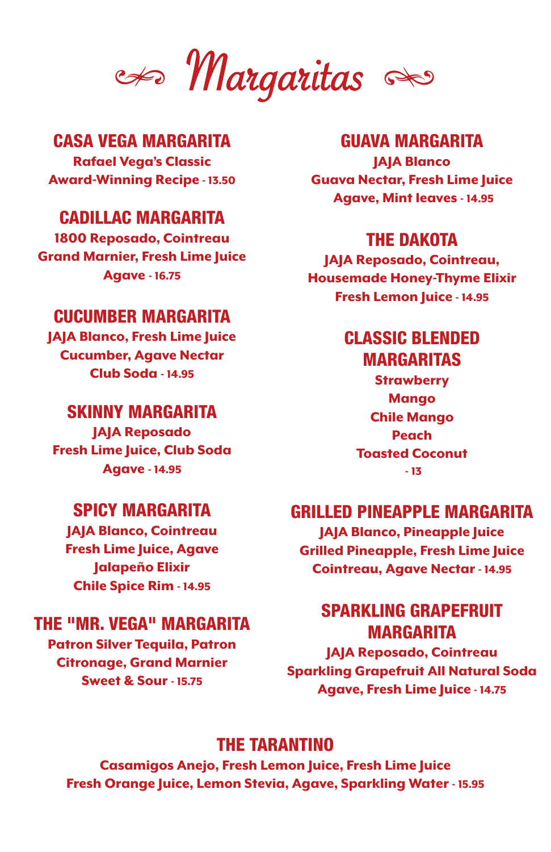Margaritas

#### CASA VEGA MARGARITA

Rafael Vega's Classic Award-Winning Recipe - 13.50

#### CADILLAC MARGARITA

1800 Reposado, Cointreau Grand Marnier, Fresh Lime Juice Agave - 16.75

#### CUCUMBER MARGARITA

JAJA Blanco, Fresh Lime Juice Cucumber, Agave Nectar Club Soda - 14.95

#### SKINNY MARGARITA

JAJA Reposado Fresh Lime Juice, Club Soda Agave - 14.95

#### SPICY MARGARITA

JAJA Blanco, Cointreau Fresh Lime Juice, Agave Jalapeño Elixir Chile Spice Rim - 14.95

#### THE "MR. VEGA" MARGARITA

Patron Silver Tequila, Patron Citronage, Grand Marnier Sweet & Sour - 15.75

#### GUAVA MARGARITA

JAJA Blanco Guava Nectar, Fresh Lime Juice Agave, Mint leaves - 14.95

#### THE DAKOTA

JAJA Reposado, Cointreau, Housemade Honey-Thyme Elixir Fresh Lemon Juice - 14.95

## CLASSIC BLENDED

MARGARITAS

**Strawberry** Mango Chile Mango Peach Toasted Coconut - 13

#### GRILLED PINEAPPLE MARGARITA

JAJA Blanco, Pineapple Juice Grilled Pineapple, Fresh Lime Juice Cointreau, Agave Nectar - 14.95

### SPARKLING GRAPEFRUIT MARGARITA

JAJA Reposado, Cointreau Sparkling Grapefruit All Natural Soda Agave, Fresh Lime Juice - 14.75

#### THE TARANTINO

Casamigos Anejo, Fresh Lemon Juice, Fresh Lime Juice Fresh Orange Juice, Lemon Stevia, Agave, Sparkling Water - 15.95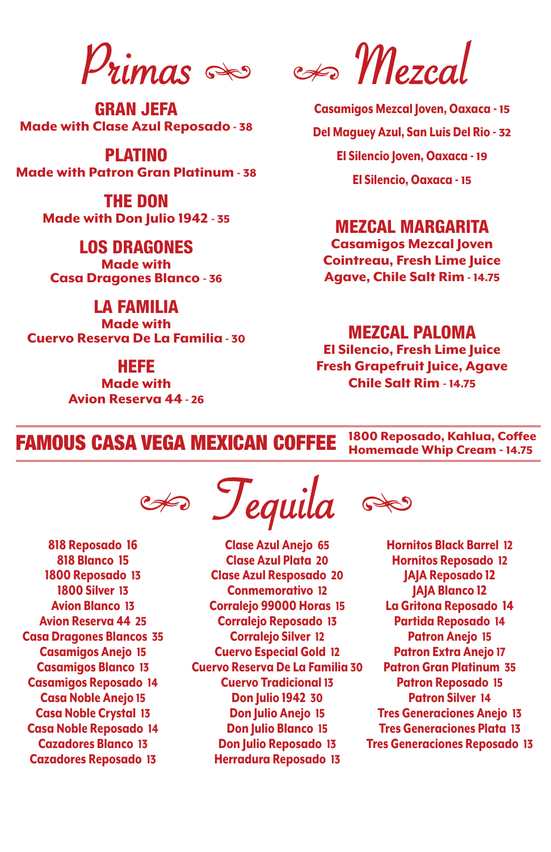GRAN JEFA Made with Clase Azul Reposado - 38

PLATINO Made with Patron Gran Platinum - 38

> THE DON Made with Don Julio 1942 - 35

LOS DRAGONES Made with Casa Dragones Blanco - 36

LA FAMILIA Made with Cuervo Reserva De La Familia - 30

#### HEFE

Made with Avion Reserva 44 - 26

 $P_{\text{limas}} \gg P_{\text{maxal}}$ 

Casamigos Mezcal Joven, Oaxaca - 15 Del Maguey Azul, San Luis Del Rio - 32 El Silencio Joven, Oaxaca - 19 El Silencio, Oaxaca - 15

#### MEZCAL MARGARITA

Casamigos Mezcal Joven Cointreau, Fresh Lime Juice Agave, Chile Salt Rim - 14.75

#### MEZCAL PALOMA

El Silencio, Fresh Lime Juice Fresh Grapefruit Juice, Agave Chile Salt Rim - 14.75

FAMOUS CASA VEGA MEXICAN COFFEE 1800 Reposado, Kahlua, Coffee Homemade Whip Cream - 14.75

Tequila

818 Reposado 16 818 Blanco 15 1800 Reposado 13 1800 Silver 13 Avion Blanco 13 Avion Reserva 44 25 Casa Dragones Blancos 35 Casamigos Anejo 15 Casamigos Blanco 13 Casamigos Reposado 14 Casa Noble Anejo 15 Casa Noble Crystal 13 Casa Noble Reposado 14 Cazadores Blanco 13 Cazadores Reposado 13

Clase Azul Anejo 65 Clase Azul Plata 20 Clase Azul Resposado 20 Conmemorativo 12 Corralejo 99000 Horas 15 Corralejo Reposado 13 Corralejo Silver 12 Cuervo Especial Gold 12 Cuervo Reserva De La Familia 30 Cuervo Tradicional 13 Don Julio 1942 30 Don Julio Anejo 15 Don Julio Blanco 15 Don Julio Reposado 13 Herradura Reposado 13

 $\mathcal{P}$ 

Hornitos Black Barrel 12 Hornitos Reposado 12 JAJA Reposado 12 JAJA Blanco 12 La Gritona Reposado 14 Partida Reposado 14 Patron Anejo 15 Patron Extra Anejo 17 Patron Gran Platinum 35 Patron Reposado 15 Patron Silver 14 Tres Generaciones Anejo 13 Tres Generaciones Plata 13 Tres Generaciones Reposado 13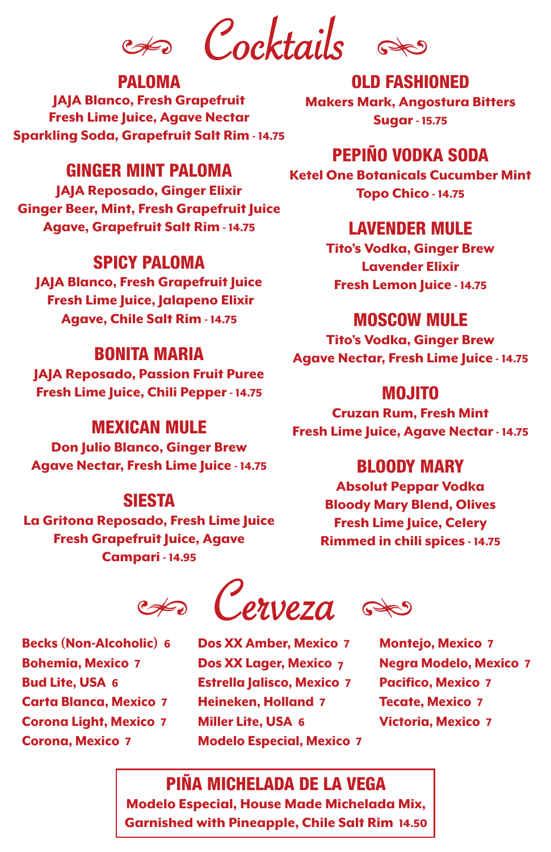Cocktails

#### PALOMA

JAJA Blanco, Fresh Grapefruit Fresh Lime Juice, Agave Nectar Sparkling Soda, Grapefruit Salt Rim - 14.75

OLD FASHIONED Makers Mark, Angostura Bitters Sugar - 15.75

#### GINGER MINT PALOMA

JAJA Reposado, Ginger Elixir Ginger Beer, Mint, Fresh Grapefruit Juice Agave, Grapefruit Salt Rim - 14.75

#### SPICY PALOMA

JAJA Blanco, Fresh Grapefruit Juice Fresh Lime Juice, Jalapeno Elixir Agave, Chile Salt Rim - 14.75

#### BONITA MARIA

JAJA Reposado, Passion Fruit Puree Fresh Lime Juice, Chili Pepper - 14.75

#### MEXICAN MULE

Don Julio Blanco, Ginger Brew Agave Nectar, Fresh Lime Juice - 14.75

#### SIESTA

La Gritona Reposado, Fresh Lime Juice Fresh Grapefruit Juice, Agave Campari - 14.95

#### PEPIÑO VODKA SODA Ketel One Botanicals Cucumber Mint Topo Chico - 14.75

#### LAVENDER MULE

Tito's Vodka, Ginger Brew Lavender Elixir Fresh Lemon Juice - 14.75

#### MOSCOW MULE

Tito's Vodka, Ginger Brew Agave Nectar, Fresh Lime Juice - 14.75

#### MOJITO

Cruzan Rum, Fresh Mint Fresh Lime Juice, Agave Nectar - 14.75

#### BLOODY MARY

Absolut Peppar Vodka Bloody Mary Blend, Olives Fresh Lime Juice, Celery Rimmed in chili spices - 14.75

 $\llap{$\leftrightarrow$}$  Cerveza

Becks (Non-Alcoholic) 6 Bohemia, Mexico 7 Bud Lite, USA 6 Carta Blanca, Mexico 7 Corona Light, Mexico 7 Corona, Mexico 7

Dos XX Amber, Mexico 7 Dos XX Lager, Mexico 7 Estrella Jalisco, Mexico 7 Heineken, Holland 7 Miller Lite, USA 6 Modelo Especial, Mexico 7

Montejo, Mexico 7 Negra Modelo, Mexico 7 Pacifico, Mexico 7 Tecate, Mexico 7 Victoria, Mexico 7

### PIÑA MICHELADA DE LA VEGA

Modelo Especial, House Made Michelada Mix, Garnished with Pineapple, Chile Salt Rim 14.50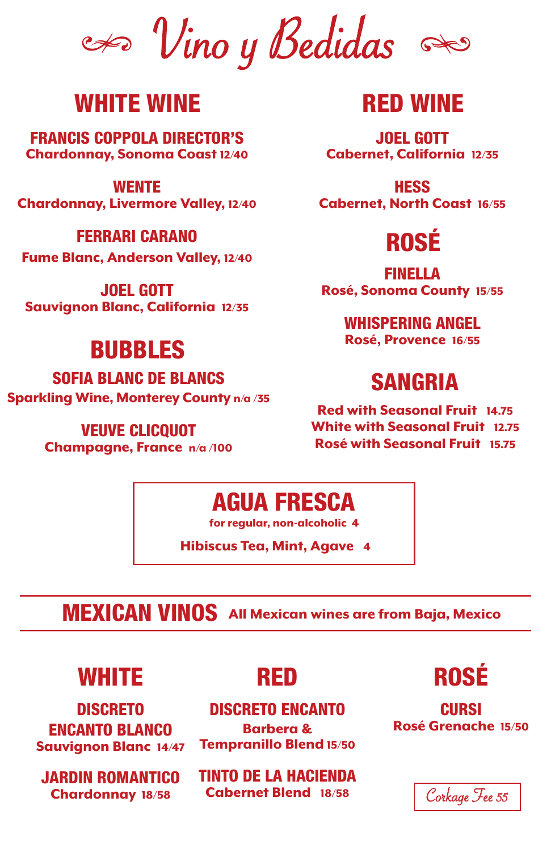$\iff$  Vino y Bedidas

### WHITE WINE

FRANCIS COPPOLA DIRECTOR'S Chardonnay, Sonoma Coast 12/40

#### **WENTE**

Chardonnay, Livermore Valley, 12/40

#### FERRARI CARANO

Fume Blanc, Anderson Valley, 12/40

JOEL GOTT Sauvignon Blanc, California 12/35

### BUBBLES

SOFIA BLANC DE BLANCS Sparkling Wine, Monterey County n/a /35

> VEUVE CLICQUOT Champagne, France n/a /100

### RED WINE

JOEL GOTT Cabernet, California 12/35

**HESS** Cabernet, North Coast 16/55

# ROSÉ

FINELLA Rosé, Sonoma County 15/55

> WHISPERING ANGEL Rosé, Provence 16/55

## SANGRIA

Red with Seasonal Fruit 14.75 White with Seasonal Fruit 12.75 Rosé with Seasonal Fruit 15.75

### AGUA FRESCA

for regular, non-alcoholic 4

Hibiscus Tea, Mint, Agave 4

## MEXICAN VINOS All Mexican wines are from Baja, Mexico

### WHITE

DISCRETO ENCANTO BLANCO Sauvignon Blanc 14/47

JARDIN ROMANTICO Chardonnay 18/58

### RED

#### DISCRETO ENCANTO

Barbera & Tempranillo Blend 15/50

TINTO DE LA HACIENDA Cabernet Blend 18/58



**CURSI** Rosé Grenache 15/50

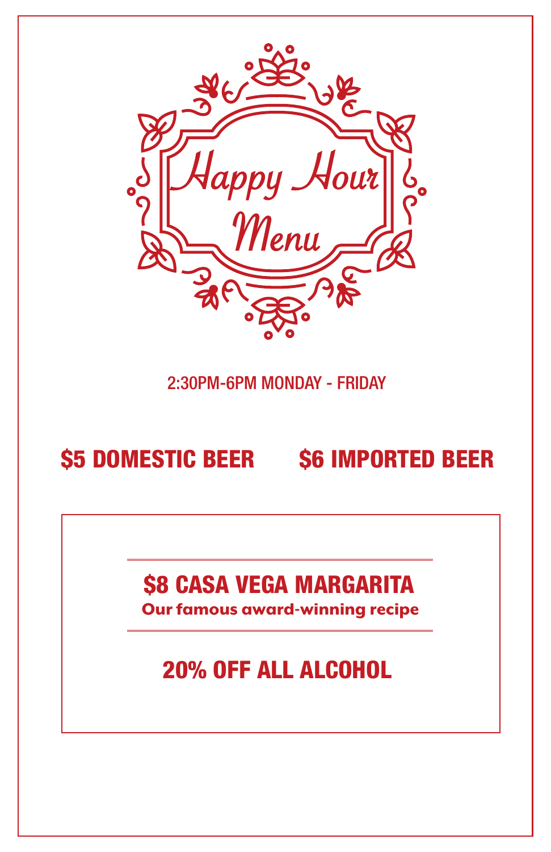

### 2:30PM-6PM MONDAY - FRIDAY

# \$5 DOMESTIC BEER \$6 IMPORTED BEER

## \$8 CASA VEGA MARGARITA

Our famous award-winning recipe

# 20% OFF ALL ALCOHOL